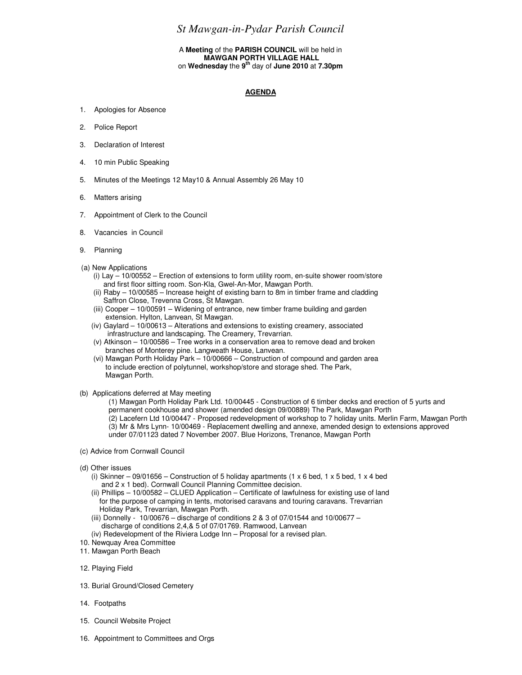## *St Mawgan-in-Pydar Parish Council*

## A **Meeting** of the **PARISH COUNCIL** will be held in  **MAWGAN PORTH VILLAGE HALL**  on **Wednesday** the **9th** day of **June 2010** at **7.30pm**

## **AGENDA**

- 1. Apologies for Absence
- 2. Police Report
- 3. Declaration of Interest
- 4. 10 min Public Speaking
- 5. Minutes of the Meetings 12 May10 & Annual Assembly 26 May 10
- 6. Matters arising
- 7. Appointment of Clerk to the Council
- 8. Vacancies in Council
- 9. Planning
- (a) New Applications
	- (i) Lay 10/00552 Erection of extensions to form utility room, en-suite shower room/store and first floor sitting room. Son-Kla, Gwel-An-Mor, Mawgan Porth.
	- (ii) Raby 10/00585 Increase height of existing barn to 8m in timber frame and cladding Saffron Close, Trevenna Cross, St Mawgan.
	- (iii) Cooper 10/00591 Widening of entrance, new timber frame building and garden extension. Hylton, Lanvean, St Mawgan.
	- (iv) Gaylard 10/00613 Alterations and extensions to existing creamery, associated infrastructure and landscaping. The Creamery, Trevarrian.
	- (v) Atkinson 10/00586 Tree works in a conservation area to remove dead and broken branches of Monterey pine. Langweath House, Lanvean.
	- (vi) Mawgan Porth Holiday Park  $10/00666$  Construction of compound and garden area to include erection of polytunnel, workshop/store and storage shed. The Park, Mawgan Porth.
- (b) Applications deferred at May meeting

(1) Mawgan Porth Holiday Park Ltd. 10/00445 - Construction of 6 timber decks and erection of 5 yurts and permanent cookhouse and shower (amended design 09/00889) The Park, Mawgan Porth (2) Lacefern Ltd 10/00447 - Proposed redevelopment of workshop to 7 holiday units. Merlin Farm, Mawgan Porth (3) Mr & Mrs Lynn- 10/00469 - Replacement dwelling and annexe, amended design to extensions approved under 07/01123 dated 7 November 2007. Blue Horizons, Trenance, Mawgan Porth

- (c) Advice from Cornwall Council
- (d) Other issues
	- (i) Skinner 09/01656 Construction of 5 holiday apartments (1  $\times$  6 bed, 1  $\times$  5 bed, 1  $\times$  4 bed and 2 x 1 bed). Cornwall Council Planning Committee decision.
	- (ii) Phillips 10/00582 CLUED Application Certificate of lawfulness for existing use of land for the purpose of camping in tents, motorised caravans and touring caravans. Trevarrian Holiday Park, Trevarrian, Mawgan Porth.
	- (iii) Donnelly  $10/00676 -$  discharge of conditions 2 & 3 of 07/01544 and 10/00677 discharge of conditions 2,4,& 5 of 07/01769. Ramwood, Lanvean
	- (iv) Redevelopment of the Riviera Lodge Inn Proposal for a revised plan.
- 10. Newquay Area Committee
- 11. Mawgan Porth Beach
- 12. Playing Field
- 13. Burial Ground/Closed Cemetery
- 14. Footpaths
- 15. Council Website Project
- 16. Appointment to Committees and Orgs